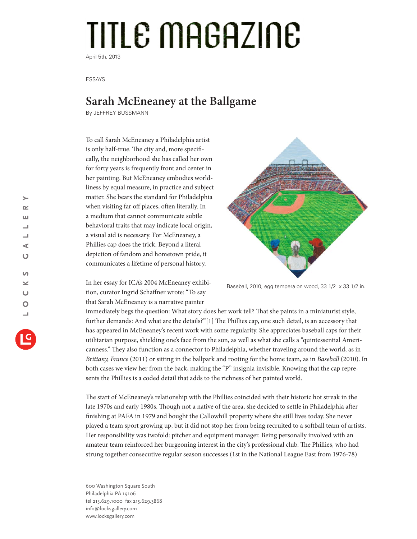## TITLE MAGAZINE April 5th, 2013

ESSAYS

## **Sarah McEneaney at the Ballgame**

By JEFFREY BUSSMANN

To call Sarah McEneaney a Philadelphia artist is only half-true. The city and, more specifically, the neighborhood she has called her own for forty years is frequently front and center in her painting. But McEneaney embodies worldliness by equal measure, in practice and subject matter. She bears the standard for Philadelphia when visiting far off places, often literally. In a medium that cannot communicate subtle behavioral traits that may indicate local origin, a visual aid is necessary. For McEneaney, a Phillies cap does the trick. Beyond a literal depiction of fandom and hometown pride, it communicates a lifetime of personal history.

In her essay for ICA's 2004 McEneaney exhibition, curator Ingrid Schaffner wrote: "To say that Sarah McEneaney is a narrative painter



Baseball, 2010, egg tempera on wood, 33 1/2 x 33 1/2 in.

immediately begs the question: What story does her work tell? That she paints in a miniaturist style, further demands: And what are the details?"[1] The Phillies cap, one such detail, is an accessory that has appeared in McEneaney's recent work with some regularity. She appreciates baseball caps for their utilitarian purpose, shielding one's face from the sun, as well as what she calls a "quintessential Americanness." They also function as a connector to Philadelphia, whether traveling around the world, as in *Brittany, France* (2011) or sitting in the ballpark and rooting for the home team, as in *Baseball* (2010). In both cases we view her from the back, making the "P" insignia invisible. Knowing that the cap represents the Phillies is a coded detail that adds to the richness of her painted world.

The start of McEneaney's relationship with the Phillies coincided with their historic hot streak in the late 1970s and early 1980s. Though not a native of the area, she decided to settle in Philadelphia after finishing at PAFA in 1979 and bought the Callowhill property where she still lives today. She never played a team sport growing up, but it did not stop her from being recruited to a softball team of artists. Her responsibility was twofold: pitcher and equipment manager. Being personally involved with an amateur team reinforced her burgeoning interest in the city's professional club. The Phillies, who had strung together consecutive regular season successes (1st in the National League East from 1976-78)

600 Washington Square South Philadelphia PA 19106 tel 215.629.1000 fax 215.629.3868 info@locksgallery.com www.locksgallery.com

 $\rightarrow$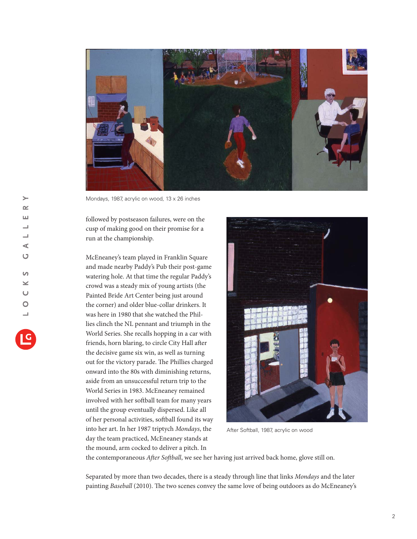

Mondays, 1987, acrylic on wood, 13 x 26 inches

followed by postseason failures, were on the cusp of making good on their promise for a run at the championship.

McEneaney's team played in Franklin Square and made nearby Paddy's Pub their post-game watering hole. At that time the regular Paddy's crowd was a steady mix of young artists (the Painted Bride Art Center being just around the corner) and older blue-collar drinkers. It was here in 1980 that she watched the Phillies clinch the NL pennant and triumph in the World Series. She recalls hopping in a car with friends, horn blaring, to circle City Hall after the decisive game six win, as well as turning out for the victory parade. The Phillies charged onward into the 80s with diminishing returns, aside from an unsuccessful return trip to the World Series in 1983. McEneaney remained involved with her softball team for many years until the group eventually dispersed. Like all of her personal activities, softball found its way into her art. In her 1987 triptych *Mondays*, the day the team practiced, McEneaney stands at the mound, arm cocked to deliver a pitch. In



After Softball, 1987, acrylic on wood

the contemporaneous *After Softball*, we see her having just arrived back home, glove still on.

Separated by more than two decades, there is a steady through line that links *Mondays* and the later painting *Baseball* (2010). The two scenes convey the same love of being outdoors as do McEneaney's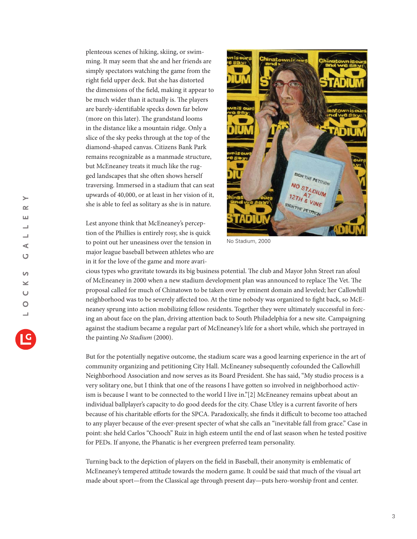plenteous scenes of hiking, skiing, or swimming. It may seem that she and her friends are simply spectators watching the game from the right field upper deck. But she has distorted the dimensions of the field, making it appear to be much wider than it actually is. The players are barely-identifiable specks down far below (more on this later). The grandstand looms in the distance like a mountain ridge. Only a slice of the sky peeks through at the top of the diamond-shaped canvas. Citizens Bank Park remains recognizable as a manmade structure, but McEneaney treats it much like the rugged landscapes that she often shows herself traversing. Immersed in a stadium that can seat upwards of 40,000, or at least in her vision of it, she is able to feel as solitary as she is in nature.

Lest anyone think that McEneaney's perception of the Phillies is entirely rosy, she is quick to point out her uneasiness over the tension in major league baseball between athletes who are in it for the love of the game and more avari-



No Stadium, 2000

cious types who gravitate towards its big business potential. The club and Mayor John Street ran afoul of McEneaney in 2000 when a new stadium development plan was announced to replace The Vet. The proposal called for much of Chinatown to be taken over by eminent domain and leveled; her Callowhill neighborhood was to be severely affected too. At the time nobody was organized to fight back, so McEneaney sprung into action mobilizing fellow residents. Together they were ultimately successful in forcing an about face on the plan, driving attention back to South Philadelphia for a new site. Campaigning against the stadium became a regular part of McEneaney's life for a short while, which she portrayed in the painting *No Stadium* (2000).

But for the potentially negative outcome, the stadium scare was a good learning experience in the art of community organizing and petitioning City Hall. McEneaney subsequently cofounded the Callowhill Neighborhood Association and now serves as its Board President. She has said, "My studio process is a very solitary one, but I think that one of the reasons I have gotten so involved in neighborhood activism is because I want to be connected to the world I live in."[2] McEneaney remains upbeat about an individual ballplayer's capacity to do good deeds for the city. Chase Utley is a current favorite of hers because of his charitable efforts for the SPCA. Paradoxically, she finds it difficult to become too attached to any player because of the ever-present specter of what she calls an "inevitable fall from grace." Case in point: she held Carlos "Chooch" Ruiz in high esteem until the end of last season when he tested positive for PEDs. If anyone, the Phanatic is her evergreen preferred team personality.

Turning back to the depiction of players on the field in Baseball, their anonymity is emblematic of McEneaney's tempered attitude towards the modern game. It could be said that much of the visual art made about sport—from the Classical age through present day—puts hero-worship front and center.